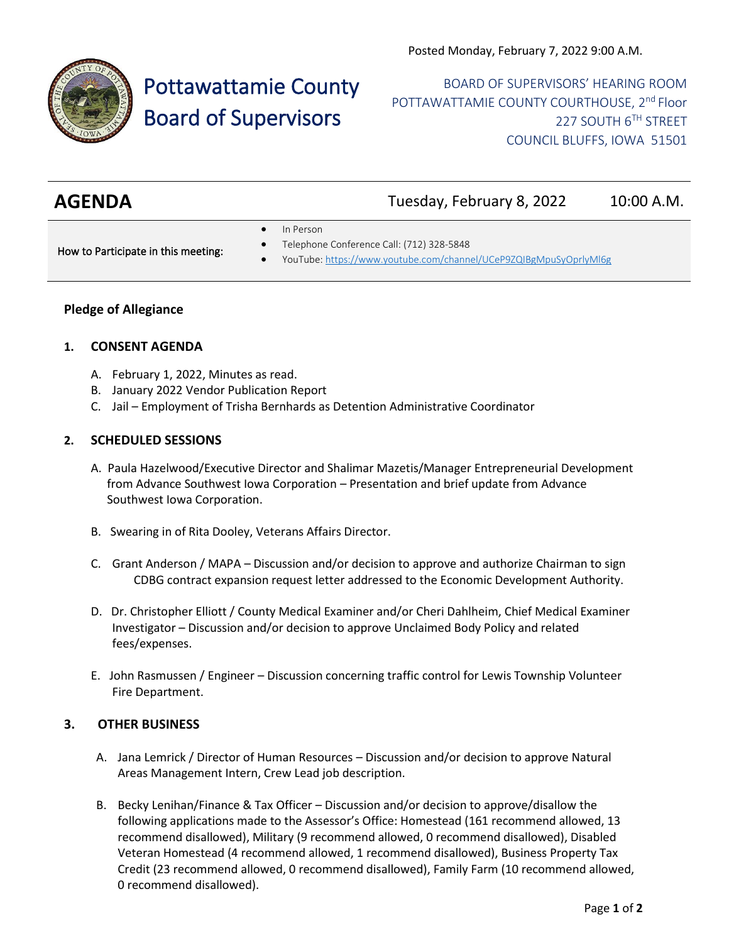

# Pottawattamie County Board of Supervisors

BOARD OF SUPERVISORS' HEARING ROOM POTTAWATTAMIE COUNTY COURTHOUSE, 2<sup>nd</sup> Floor 227 SOUTH 6TH STREET COUNCIL BLUFFS, IOWA 51501

| <b>AGENDA</b> | Tuesday, February 8, 2022 | 10:00 A.M. |
|---------------|---------------------------|------------|
|               |                           |            |

In Person

How to Participate in this meeting:

- Telephone Conference Call: (712) 328-5848
- YouTube[: https://www.youtube.com/channel/UCeP9ZQIBgMpuSyOprlyMl6g](https://www.youtube.com/channel/UCeP9ZQIBgMpuSyOprlyMl6g)

#### **Pledge of Allegiance**

#### **1. CONSENT AGENDA**

- A. February 1, 2022, Minutes as read.
- B. January 2022 Vendor Publication Report
- C. Jail Employment of Trisha Bernhards as Detention Administrative Coordinator

#### **2. SCHEDULED SESSIONS**

- A. Paula Hazelwood/Executive Director and Shalimar Mazetis/Manager Entrepreneurial Development from Advance Southwest Iowa Corporation – Presentation and brief update from Advance Southwest Iowa Corporation.
- B. Swearing in of Rita Dooley, Veterans Affairs Director.
- C. Grant Anderson / MAPA Discussion and/or decision to approve and authorize Chairman to sign CDBG contract expansion request letter addressed to the Economic Development Authority.
- D. Dr. Christopher Elliott / County Medical Examiner and/or Cheri Dahlheim, Chief Medical Examiner Investigator – Discussion and/or decision to approve Unclaimed Body Policy and related fees/expenses.
- E. John Rasmussen / Engineer Discussion concerning traffic control for Lewis Township Volunteer Fire Department.

#### **3. OTHER BUSINESS**

- A. Jana Lemrick / Director of Human Resources Discussion and/or decision to approve Natural Areas Management Intern, Crew Lead job description.
- B. Becky Lenihan/Finance & Tax Officer Discussion and/or decision to approve/disallow the following applications made to the Assessor's Office: Homestead (161 recommend allowed, 13 recommend disallowed), Military (9 recommend allowed, 0 recommend disallowed), Disabled Veteran Homestead (4 recommend allowed, 1 recommend disallowed), Business Property Tax Credit (23 recommend allowed, 0 recommend disallowed), Family Farm (10 recommend allowed, 0 recommend disallowed).